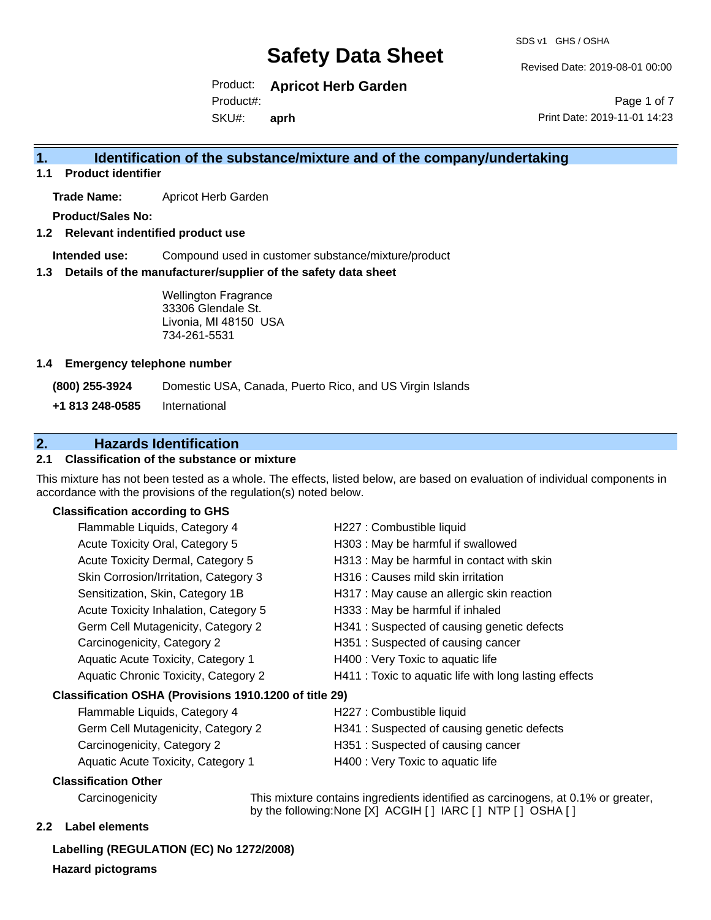SDS v1 GHS / OSHA

Revised Date: 2019-08-01 00:00

Product: **Apricot Herb Garden** SKU#: Product#: **aprh**

Page 1 of 7 Print Date: 2019-11-01 14:23

### **1. Identification of the substance/mixture and of the company/undertaking**

**1.1 Product identifier**

**Trade Name:** Apricot Herb Garden

**Product/Sales No:**

**1.2 Relevant indentified product use**

**Intended use:** Compound used in customer substance/mixture/product

**1.3 Details of the manufacturer/supplier of the safety data sheet**

Wellington Fragrance 33306 Glendale St. Livonia, MI 48150 USA 734-261-5531

#### **1.4 Emergency telephone number**

**(800) 255-3924** Domestic USA, Canada, Puerto Rico, and US Virgin Islands

**+1 813 248-0585** International

### **2. Hazards Identification**

#### **2.1 Classification of the substance or mixture**

This mixture has not been tested as a whole. The effects, listed below, are based on evaluation of individual components in accordance with the provisions of the regulation(s) noted below.

#### **Classification according to GHS**

| Flammable Liquids, Category 4                          | H227 : Combustible liquid                              |
|--------------------------------------------------------|--------------------------------------------------------|
| Acute Toxicity Oral, Category 5                        | H303 : May be harmful if swallowed                     |
| Acute Toxicity Dermal, Category 5                      | H313 : May be harmful in contact with skin             |
| Skin Corrosion/Irritation, Category 3                  | H316 : Causes mild skin irritation                     |
| Sensitization, Skin, Category 1B                       | H317 : May cause an allergic skin reaction             |
| Acute Toxicity Inhalation, Category 5                  | H333: May be harmful if inhaled                        |
| Germ Cell Mutagenicity, Category 2                     | H341 : Suspected of causing genetic defects            |
| Carcinogenicity, Category 2                            | H351: Suspected of causing cancer                      |
| Aquatic Acute Toxicity, Category 1                     | H400 : Very Toxic to aquatic life                      |
| Aquatic Chronic Toxicity, Category 2                   | H411 : Toxic to aquatic life with long lasting effects |
| Classification OSHA (Provisions 1910.1200 of title 29) |                                                        |
| Flammable Liquids, Category 4                          | H227 : Combustible liquid                              |
| Germ Cell Mutagenicity, Category 2                     | H341 : Suspected of causing genetic defects            |
| Carcinogenicity, Category 2                            | H351: Suspected of causing cancer                      |
| Aquatic Acute Toxicity, Category 1                     | H400 : Very Toxic to aquatic life                      |
| <b>Classification Other</b>                            |                                                        |

Carcinogenicity This mixture contains ingredients identified as carcinogens, at 0.1% or greater, by the following:None [X] ACGIH [ ] IARC [ ] NTP [ ] OSHA [ ]

#### **2.2 Label elements**

**Labelling (REGULATION (EC) No 1272/2008) Hazard pictograms**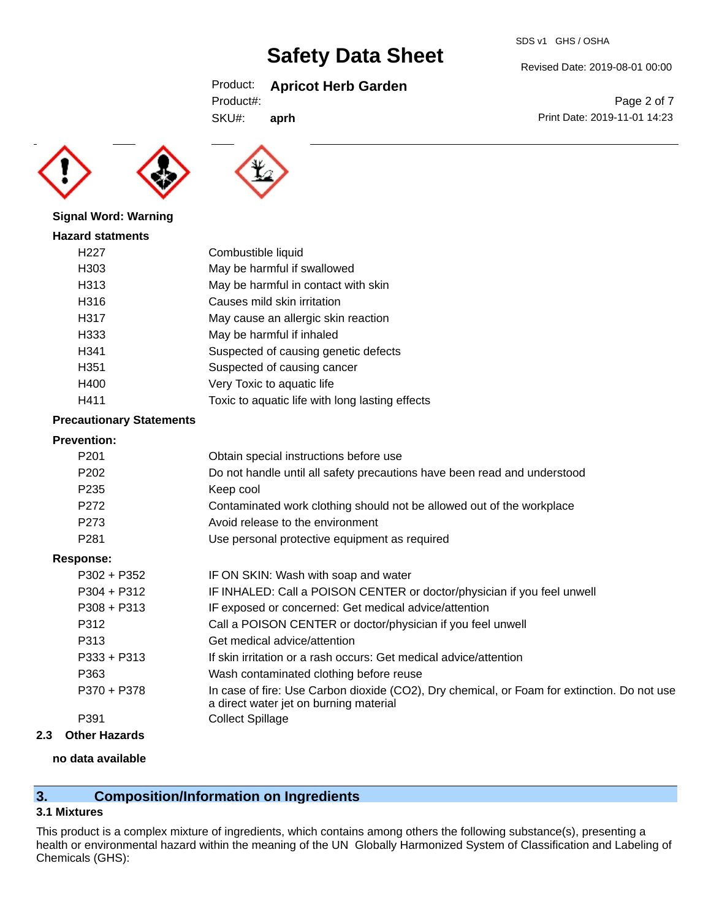### Product: **Apricot Herb Garden**

SKU#: **aprh**





#### **Signal Word: Warning**

| <b>Hazard statments</b> |                                                 |
|-------------------------|-------------------------------------------------|
| H <sub>22</sub> 7       | Combustible liquid                              |
| H303                    | May be harmful if swallowed                     |
| H313                    | May be harmful in contact with skin             |
| H316                    | Causes mild skin irritation                     |
| H317                    | May cause an allergic skin reaction             |
| H333                    | May be harmful if inhaled                       |
| H341                    | Suspected of causing genetic defects            |
| H351                    | Suspected of causing cancer                     |
| H400                    | Very Toxic to aquatic life                      |
| H411                    | Toxic to aquatic life with long lasting effects |

#### **Precautionary Statements**

#### **Prevention:**

| P <sub>201</sub> | Obtain special instructions before use                                                                                                |
|------------------|---------------------------------------------------------------------------------------------------------------------------------------|
| P <sub>202</sub> | Do not handle until all safety precautions have been read and understood                                                              |
| P <sub>235</sub> | Keep cool                                                                                                                             |
| P272             | Contaminated work clothing should not be allowed out of the workplace                                                                 |
| P273             | Avoid release to the environment                                                                                                      |
| P <sub>281</sub> | Use personal protective equipment as required                                                                                         |
| Response:        |                                                                                                                                       |
| $P302 + P352$    | IF ON SKIN: Wash with soap and water                                                                                                  |
| $P304 + P312$    | IF INHALED: Call a POISON CENTER or doctor/physician if you feel unwell                                                               |
| $P308 + P313$    | IF exposed or concerned: Get medical advice/attention                                                                                 |
| P312             | Call a POISON CENTER or doctor/physician if you feel unwell                                                                           |
| P313             | Get medical advice/attention                                                                                                          |
| $P333 + P313$    | If skin irritation or a rash occurs: Get medical advice/attention                                                                     |
| P363             | Wash contaminated clothing before reuse                                                                                               |
| P370 + P378      | In case of fire: Use Carbon dioxide (CO2), Dry chemical, or Foam for extinction. Do not use<br>a direct water jet on burning material |
| P391             | <b>Collect Spillage</b>                                                                                                               |
|                  |                                                                                                                                       |

**2.3 Other Hazards**

### **no data available**

# **3. Composition/Information on Ingredients**

#### **3.1 Mixtures**

This product is a complex mixture of ingredients, which contains among others the following substance(s), presenting a health or environmental hazard within the meaning of the UN Globally Harmonized System of Classification and Labeling of Chemicals (GHS):

Revised Date: 2019-08-01 00:00

Page 2 of 7 Print Date: 2019-11-01 14:23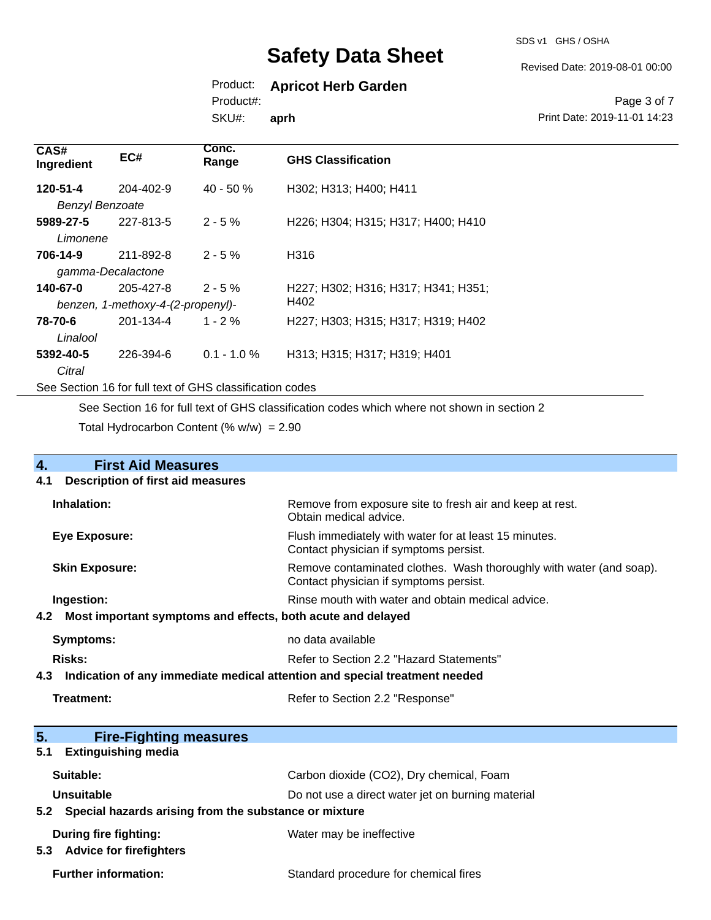SDS v1 GHS / OSHA

Revised Date: 2019-08-01 00:00

# Product: **Apricot Herb Garden**

Product#:

SKU#: **aprh**

#### Page 3 of 7 Print Date: 2019-11-01 14:23

| CAS#<br>Ingredient                                       | EC#       | Conc.<br>Range | <b>GHS Classification</b>           |
|----------------------------------------------------------|-----------|----------------|-------------------------------------|
| 120-51-4                                                 | 204-402-9 | $40 - 50 \%$   | H302; H313; H400; H411              |
| <b>Benzyl Benzoate</b>                                   |           |                |                                     |
| 5989-27-5                                                | 227-813-5 | $2 - 5%$       | H226; H304; H315; H317; H400; H410  |
| Limonene                                                 |           |                |                                     |
| 706-14-9                                                 | 211-892-8 | $2 - 5 \%$     | H316                                |
| gamma-Decalactone                                        |           |                |                                     |
| 140-67-0                                                 | 205-427-8 | $2 - 5%$       | H227: H302: H316: H317: H341: H351: |
| benzen, 1-methoxy-4-(2-propenyl)-                        |           |                | H402                                |
| 78-70-6                                                  | 201-134-4 | $1 - 2 \%$     | H227; H303; H315; H317; H319; H402  |
| Linalool                                                 |           |                |                                     |
| 5392-40-5                                                | 226-394-6 | $0.1 - 1.0 \%$ | H313; H315; H317; H319; H401        |
| Citral                                                   |           |                |                                     |
| See Section 16 for full text of GHS classification codes |           |                |                                     |

See Section 16 for full text of GHS classification codes which where not shown in section 2

Total Hydrocarbon Content  $(\% w/w) = 2.90$ 

| 4.                                                                                | <b>First Aid Measures</b>                             |                                                                                                               |  |
|-----------------------------------------------------------------------------------|-------------------------------------------------------|---------------------------------------------------------------------------------------------------------------|--|
| 4.1                                                                               | <b>Description of first aid measures</b>              |                                                                                                               |  |
|                                                                                   | Inhalation:                                           | Remove from exposure site to fresh air and keep at rest.<br>Obtain medical advice.                            |  |
|                                                                                   | Eye Exposure:                                         | Flush immediately with water for at least 15 minutes.<br>Contact physician if symptoms persist.               |  |
|                                                                                   | <b>Skin Exposure:</b>                                 | Remove contaminated clothes. Wash thoroughly with water (and soap).<br>Contact physician if symptoms persist. |  |
|                                                                                   | Ingestion:                                            | Rinse mouth with water and obtain medical advice.                                                             |  |
| Most important symptoms and effects, both acute and delayed<br>4.2                |                                                       |                                                                                                               |  |
|                                                                                   | Symptoms:                                             | no data available                                                                                             |  |
|                                                                                   | Risks:<br>Refer to Section 2.2 "Hazard Statements"    |                                                                                                               |  |
| Indication of any immediate medical attention and special treatment needed<br>4.3 |                                                       |                                                                                                               |  |
|                                                                                   | <b>Treatment:</b><br>Refer to Section 2.2 "Response"  |                                                                                                               |  |
| 5.                                                                                | <b>Fire-Fighting measures</b>                         |                                                                                                               |  |
| 5.1                                                                               | <b>Extinguishing media</b>                            |                                                                                                               |  |
|                                                                                   | Suitable:                                             | Carbon dioxide (CO2), Dry chemical, Foam                                                                      |  |
|                                                                                   | Unsuitable                                            | Do not use a direct water jet on burning material                                                             |  |
| 5.2                                                                               | Special hazards arising from the substance or mixture |                                                                                                               |  |
|                                                                                   | During fire fighting:                                 | Water may be ineffective                                                                                      |  |

**5.3 Advice for firefighters**

Further information: **Further information:** Standard procedure for chemical fires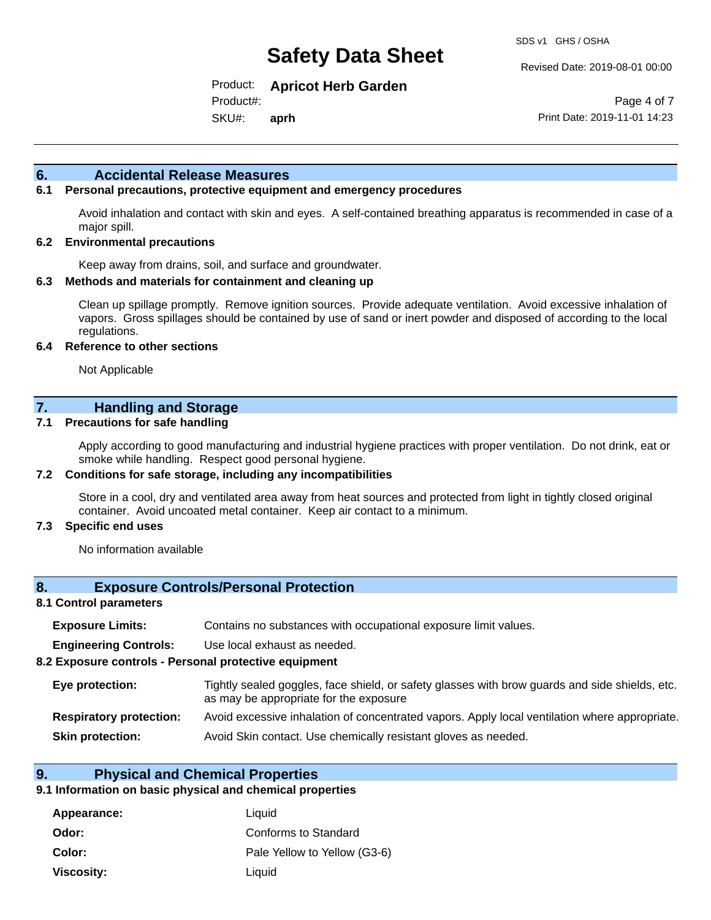Revised Date: 2019-08-01 00:00

Product: **Apricot Herb Garden** Product#:

SKU#: **aprh**

Page 4 of 7 Print Date: 2019-11-01 14:23

#### **6. Accidental Release Measures**

### **6.1 Personal precautions, protective equipment and emergency procedures**

Avoid inhalation and contact with skin and eyes. A self-contained breathing apparatus is recommended in case of a major spill.

#### **6.2 Environmental precautions**

Keep away from drains, soil, and surface and groundwater.

#### **6.3 Methods and materials for containment and cleaning up**

Clean up spillage promptly. Remove ignition sources. Provide adequate ventilation. Avoid excessive inhalation of vapors. Gross spillages should be contained by use of sand or inert powder and disposed of according to the local regulations.

#### **6.4 Reference to other sections**

Not Applicable

### **7. Handling and Storage**

#### **7.1 Precautions for safe handling**

Apply according to good manufacturing and industrial hygiene practices with proper ventilation. Do not drink, eat or smoke while handling. Respect good personal hygiene.

#### **7.2 Conditions for safe storage, including any incompatibilities**

Store in a cool, dry and ventilated area away from heat sources and protected from light in tightly closed original container. Avoid uncoated metal container. Keep air contact to a minimum.

#### **7.3 Specific end uses**

No information available

#### **8. Exposure Controls/Personal Protection**

#### **8.1 Control parameters**

| Contains no substances with occupational exposure limit values.<br><b>Exposure Limits:</b> |  |
|--------------------------------------------------------------------------------------------|--|
|--------------------------------------------------------------------------------------------|--|

**Engineering Controls:** Use local exhaust as needed.

#### **8.2 Exposure controls - Personal protective equipment**

| Eye protection:                | Tightly sealed goggles, face shield, or safety glasses with brow guards and side shields, etc.<br>as may be appropriate for the exposure |
|--------------------------------|------------------------------------------------------------------------------------------------------------------------------------------|
| <b>Respiratory protection:</b> | Avoid excessive inhalation of concentrated vapors. Apply local ventilation where appropriate.                                            |
| <b>Skin protection:</b>        | Avoid Skin contact. Use chemically resistant gloves as needed.                                                                           |

### **9. Physical and Chemical Properties**

#### **9.1 Information on basic physical and chemical properties**

| Appearance:       | Liquid                       |
|-------------------|------------------------------|
| Odor:             | Conforms to Standard         |
| Color:            | Pale Yellow to Yellow (G3-6) |
| <b>Viscosity:</b> | Liquid                       |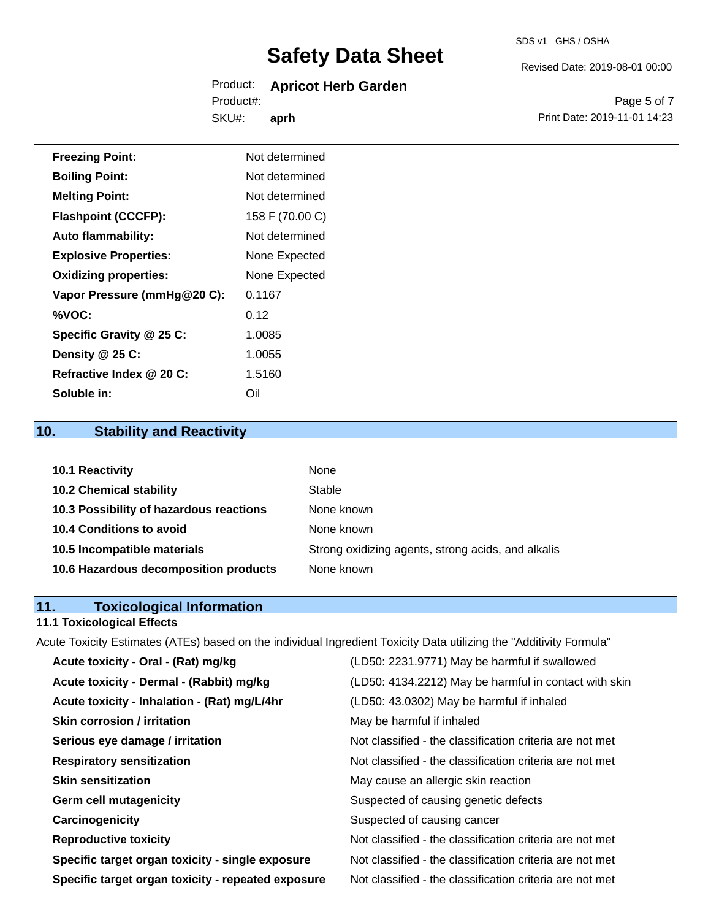#### Product: **Apricot Herb Garden** SKU#: Product#: **aprh**

Page 5 of 7

Revised Date: 2019-08-01 00:00

Print Date: 2019-11-01 14:23

| <b>Freezing Point:</b>       | Not determined  |
|------------------------------|-----------------|
| <b>Boiling Point:</b>        | Not determined  |
| <b>Melting Point:</b>        | Not determined  |
| <b>Flashpoint (CCCFP):</b>   | 158 F (70.00 C) |
| <b>Auto flammability:</b>    | Not determined  |
| <b>Explosive Properties:</b> | None Expected   |
| <b>Oxidizing properties:</b> | None Expected   |
| Vapor Pressure (mmHg@20 C):  | 0.1167          |
| %VOC:                        | 0.12            |
| Specific Gravity @ 25 C:     | 1.0085          |
| Density @ 25 C:              | 1.0055          |
| Refractive Index @ 20 C:     | 1.5160          |

# **10. Stability and Reactivity**

**Soluble in:** Oil

| <b>10.1 Reactivity</b>                  | None                                               |
|-----------------------------------------|----------------------------------------------------|
| <b>10.2 Chemical stability</b>          | Stable                                             |
| 10.3 Possibility of hazardous reactions | None known                                         |
| <b>10.4 Conditions to avoid</b>         | None known                                         |
| 10.5 Incompatible materials             | Strong oxidizing agents, strong acids, and alkalis |
| 10.6 Hazardous decomposition products   | None known                                         |

# **11. Toxicological Information**

# **11.1 Toxicological Effects**

Acute Toxicity Estimates (ATEs) based on the individual Ingredient Toxicity Data utilizing the "Additivity Formula"

| Acute toxicity - Oral - (Rat) mg/kg                | (LD50: 2231.9771) May be harmful if swallowed            |
|----------------------------------------------------|----------------------------------------------------------|
| Acute toxicity - Dermal - (Rabbit) mg/kg           | (LD50: 4134.2212) May be harmful in contact with skin    |
| Acute toxicity - Inhalation - (Rat) mg/L/4hr       | (LD50: 43.0302) May be harmful if inhaled                |
| <b>Skin corrosion / irritation</b>                 | May be harmful if inhaled                                |
| Serious eye damage / irritation                    | Not classified - the classification criteria are not met |
| <b>Respiratory sensitization</b>                   | Not classified - the classification criteria are not met |
| <b>Skin sensitization</b>                          | May cause an allergic skin reaction                      |
| <b>Germ cell mutagenicity</b>                      | Suspected of causing genetic defects                     |
| Carcinogenicity                                    | Suspected of causing cancer                              |
| <b>Reproductive toxicity</b>                       | Not classified - the classification criteria are not met |
| Specific target organ toxicity - single exposure   | Not classified - the classification criteria are not met |
| Specific target organ toxicity - repeated exposure | Not classified - the classification criteria are not met |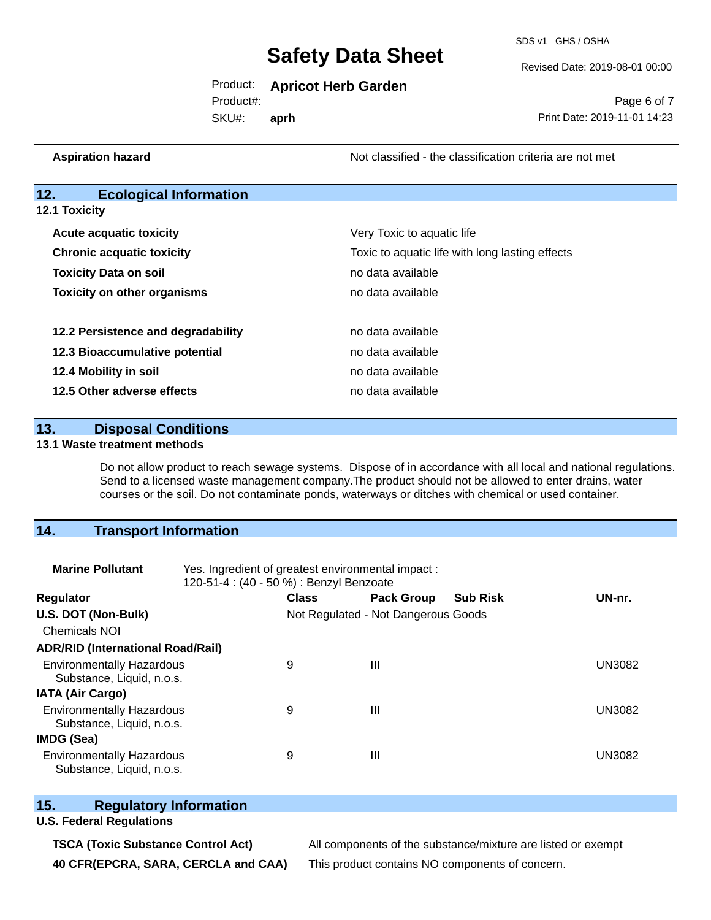SDS v1 GHS / OSHA

Revised Date: 2019-08-01 00:00

#### Product: **Apricot Herb Garden**

SKU#: Product#: **aprh**

Page 6 of 7 Print Date: 2019-11-01 14:23

**Aspiration hazard Not classified - the classification criteria are not met** Not classified - the classification criteria are not met

### **12. Ecological Information**

**12.1 Toxicity**

| <b>Acute acquatic toxicity</b>     | Very Toxic to aquatic life                      |
|------------------------------------|-------------------------------------------------|
| <b>Chronic acquatic toxicity</b>   | Toxic to aquatic life with long lasting effects |
| <b>Toxicity Data on soil</b>       | no data available                               |
| <b>Toxicity on other organisms</b> | no data available                               |
|                                    |                                                 |
| 12.2 Persistence and degradability | no data available                               |
| 12.3 Bioaccumulative potential     | no data available                               |
| 12.4 Mobility in soil              | no data available                               |
| 12.5 Other adverse effects         | no data available                               |

**13. Disposal Conditions** 

#### **13.1 Waste treatment methods**

Do not allow product to reach sewage systems. Dispose of in accordance with all local and national regulations. Send to a licensed waste management company.The product should not be allowed to enter drains, water courses or the soil. Do not contaminate ponds, waterways or ditches with chemical or used container.

# **14. Transport Information**

| <b>Marine Pollutant</b>                                       | Yes. Ingredient of greatest environmental impact:<br>120-51-4 : (40 - 50 %) : Benzyl Benzoate |              |                                     |                 |               |  |
|---------------------------------------------------------------|-----------------------------------------------------------------------------------------------|--------------|-------------------------------------|-----------------|---------------|--|
| <b>Regulator</b>                                              |                                                                                               | <b>Class</b> | <b>Pack Group</b>                   | <b>Sub Risk</b> | UN-nr.        |  |
| U.S. DOT (Non-Bulk)                                           |                                                                                               |              | Not Regulated - Not Dangerous Goods |                 |               |  |
| <b>Chemicals NOI</b>                                          |                                                                                               |              |                                     |                 |               |  |
| <b>ADR/RID (International Road/Rail)</b>                      |                                                                                               |              |                                     |                 |               |  |
| <b>Environmentally Hazardous</b><br>Substance, Liquid, n.o.s. |                                                                                               | 9            | $\mathbf{III}$                      |                 | <b>UN3082</b> |  |
| <b>IATA (Air Cargo)</b>                                       |                                                                                               |              |                                     |                 |               |  |
| <b>Environmentally Hazardous</b><br>Substance, Liquid, n.o.s. |                                                                                               | 9            | Ш                                   |                 | <b>UN3082</b> |  |
| IMDG (Sea)                                                    |                                                                                               |              |                                     |                 |               |  |
| <b>Environmentally Hazardous</b><br>Substance, Liquid, n.o.s. |                                                                                               | 9            | $\mathbf{III}$                      |                 | UN3082        |  |

# **15. Regulatory Information**

### **U.S. Federal Regulations**

**TSCA (Toxic Substance Control Act)** All components of the substance/mixture are listed or exempt **40 CFR(EPCRA, SARA, CERCLA and CAA)** This product contains NO components of concern.